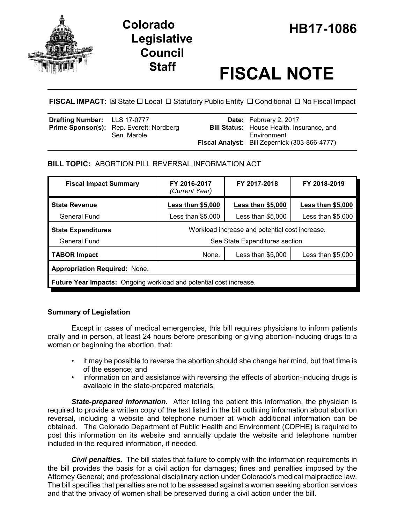

# **Legislative Council**

# **Staff FISCAL NOTE**

**FISCAL IMPACT:** ⊠ State  $\Box$  Local  $\Box$  Statutory Public Entity  $\Box$  Conditional  $\Box$  No Fiscal Impact

| <b>Drafting Number:</b> LLS 17-0777 | <b>Prime Sponsor(s):</b> Rep. Everett; Nordberg | <b>Date:</b> February 2, 2017<br><b>Bill Status:</b> House Health, Insurance, and |
|-------------------------------------|-------------------------------------------------|-----------------------------------------------------------------------------------|
|                                     | Sen. Marble                                     | Environment<br>Fiscal Analyst: Bill Zepernick (303-866-4777)                      |

## **BILL TOPIC:** ABORTION PILL REVERSAL INFORMATION ACT

| <b>Fiscal Impact Summary</b>                                       | FY 2016-2017<br>(Current Year)                 | FY 2017-2018             | FY 2018-2019       |  |  |  |
|--------------------------------------------------------------------|------------------------------------------------|--------------------------|--------------------|--|--|--|
| <b>State Revenue</b>                                               | <b>Less than \$5,000</b>                       | <b>Less than \$5,000</b> | Less than $$5,000$ |  |  |  |
| General Fund                                                       | Less than \$5,000                              | Less than \$5,000        | Less than $$5,000$ |  |  |  |
| <b>State Expenditures</b>                                          | Workload increase and potential cost increase. |                          |                    |  |  |  |
| General Fund                                                       | See State Expenditures section.                |                          |                    |  |  |  |
| <b>TABOR Impact</b>                                                | None.                                          | Less than $$5,000$       | Less than $$5,000$ |  |  |  |
| <b>Appropriation Required: None.</b>                               |                                                |                          |                    |  |  |  |
| Future Year Impacts: Ongoing workload and potential cost increase. |                                                |                          |                    |  |  |  |

### **Summary of Legislation**

Except in cases of medical emergencies, this bill requires physicians to inform patients orally and in person, at least 24 hours before prescribing or giving abortion-inducing drugs to a woman or beginning the abortion, that:

- it may be possible to reverse the abortion should she change her mind, but that time is of the essence; and
- information on and assistance with reversing the effects of abortion-inducing drugs is available in the state-prepared materials.

**State-prepared information.** After telling the patient this information, the physician is required to provide a written copy of the text listed in the bill outlining information about abortion reversal, including a website and telephone number at which additional information can be obtained. The Colorado Department of Public Health and Environment (CDPHE) is required to post this information on its website and annually update the website and telephone number included in the required information, if needed.

*Civil penalties.* The bill states that failure to comply with the information requirements in the bill provides the basis for a civil action for damages; fines and penalties imposed by the Attorney General; and professional disciplinary action under Colorado's medical malpractice law. The bill specifies that penalties are not to be assessed against a women seeking abortion services and that the privacy of women shall be preserved during a civil action under the bill.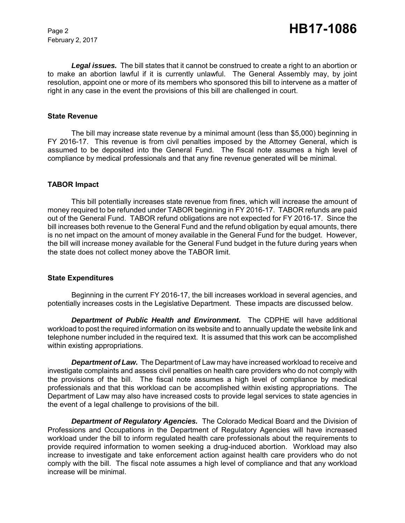February 2, 2017

*Legal issues.* The bill states that it cannot be construed to create a right to an abortion or to make an abortion lawful if it is currently unlawful. The General Assembly may, by joint resolution, appoint one or more of its members who sponsored this bill to intervene as a matter of right in any case in the event the provisions of this bill are challenged in court.

#### **State Revenue**

The bill may increase state revenue by a minimal amount (less than \$5,000) beginning in FY 2016-17. This revenue is from civil penalties imposed by the Attorney General, which is assumed to be deposited into the General Fund. The fiscal note assumes a high level of compliance by medical professionals and that any fine revenue generated will be minimal.

#### **TABOR Impact**

This bill potentially increases state revenue from fines, which will increase the amount of money required to be refunded under TABOR beginning in FY 2016-17. TABOR refunds are paid out of the General Fund. TABOR refund obligations are not expected for FY 2016-17. Since the bill increases both revenue to the General Fund and the refund obligation by equal amounts, there is no net impact on the amount of money available in the General Fund for the budget. However, the bill will increase money available for the General Fund budget in the future during years when the state does not collect money above the TABOR limit.

#### **State Expenditures**

Beginning in the current FY 2016-17, the bill increases workload in several agencies, and potentially increases costs in the Legislative Department. These impacts are discussed below.

*Department of Public Health and Environment.* The CDPHE will have additional workload to post the required information on its website and to annually update the website link and telephone number included in the required text. It is assumed that this work can be accomplished within existing appropriations.

*Department of Law.* The Department of Law may have increased workload to receive and investigate complaints and assess civil penalties on health care providers who do not comply with the provisions of the bill. The fiscal note assumes a high level of compliance by medical professionals and that this workload can be accomplished within existing appropriations. The Department of Law may also have increased costs to provide legal services to state agencies in the event of a legal challenge to provisions of the bill.

*Department of Regulatory Agencies.* The Colorado Medical Board and the Division of Professions and Occupations in the Department of Regulatory Agencies will have increased workload under the bill to inform regulated health care professionals about the requirements to provide required information to women seeking a drug-induced abortion. Workload may also increase to investigate and take enforcement action against health care providers who do not comply with the bill. The fiscal note assumes a high level of compliance and that any workload increase will be minimal.